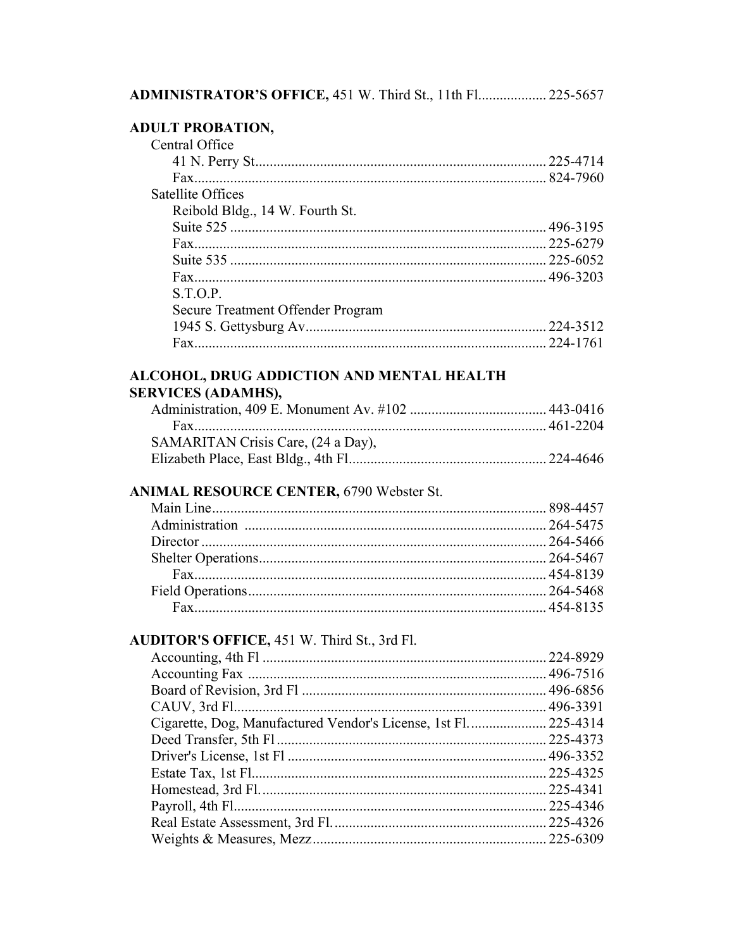# **ADULT PROBATION,**<br>Central Office

| Central Office                    |  |
|-----------------------------------|--|
|                                   |  |
|                                   |  |
| Satellite Offices                 |  |
| Reibold Bldg., 14 W. Fourth St.   |  |
|                                   |  |
|                                   |  |
|                                   |  |
|                                   |  |
| S.T.O.P.                          |  |
| Secure Treatment Offender Program |  |
|                                   |  |
|                                   |  |

## ALCOHOL, DRUG ADDICTION AND MENTAL HEALTH

#### **SERVICES (ADAMHS),**

| SAMARITAN Crisis Care, (24 a Day), |  |
|------------------------------------|--|
|                                    |  |

#### ANIMAL RESOURCE CENTER, 6790 Webster St.

#### AUDITOR'S OFFICE, 451 W. Third St., 3rd Fl.

| Cigarette, Dog, Manufactured Vendor's License, 1st Fl.  225-4314 |  |
|------------------------------------------------------------------|--|
|                                                                  |  |
|                                                                  |  |
|                                                                  |  |
|                                                                  |  |
|                                                                  |  |
|                                                                  |  |
|                                                                  |  |
|                                                                  |  |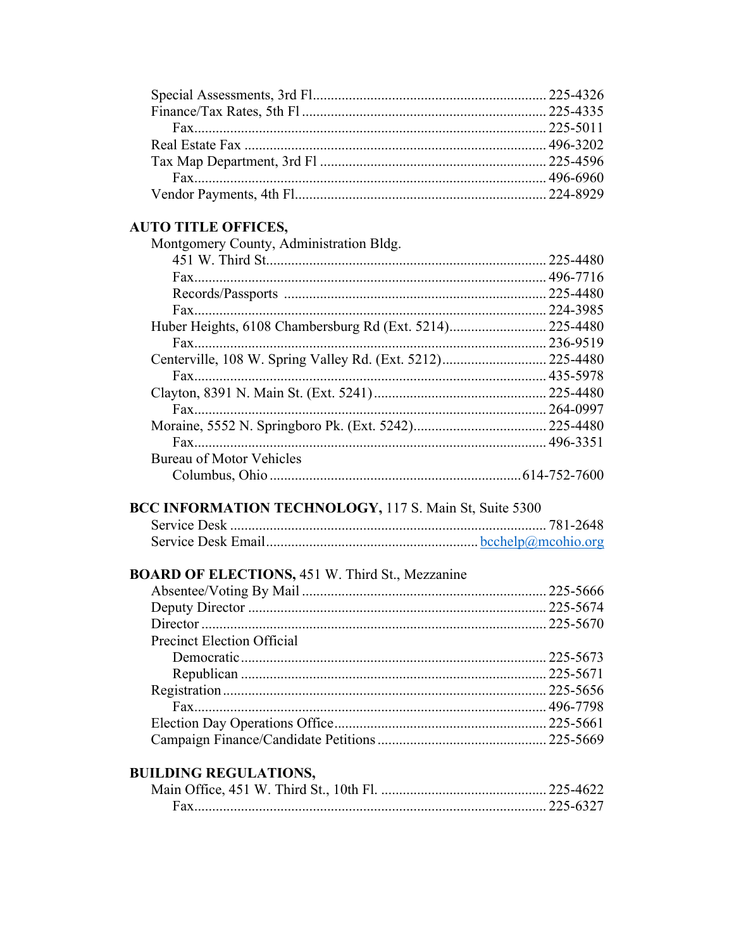#### **AUTO TITLE OFFICES,**

| Montgomery County, Administration Bldg. |           |
|-----------------------------------------|-----------|
|                                         |           |
|                                         |           |
|                                         | 225-4480  |
|                                         | 224-3985  |
|                                         |           |
|                                         | .236-9519 |
|                                         |           |
|                                         |           |
|                                         |           |
|                                         |           |
|                                         |           |
|                                         |           |
| <b>Bureau of Motor Vehicles</b>         |           |
|                                         |           |

#### BCC INFORMATION TECHNOLOGY, 117 S. Main St, Suite 5300

#### **BOARD OF ELECTIONS, 451 W. Third St., Mezzanine**

| <b>Precinct Election Official</b> |  |
|-----------------------------------|--|
|                                   |  |
|                                   |  |
|                                   |  |
|                                   |  |
|                                   |  |
|                                   |  |
|                                   |  |

### **BUILDING REGULATIONS,**

| Fax. |  |
|------|--|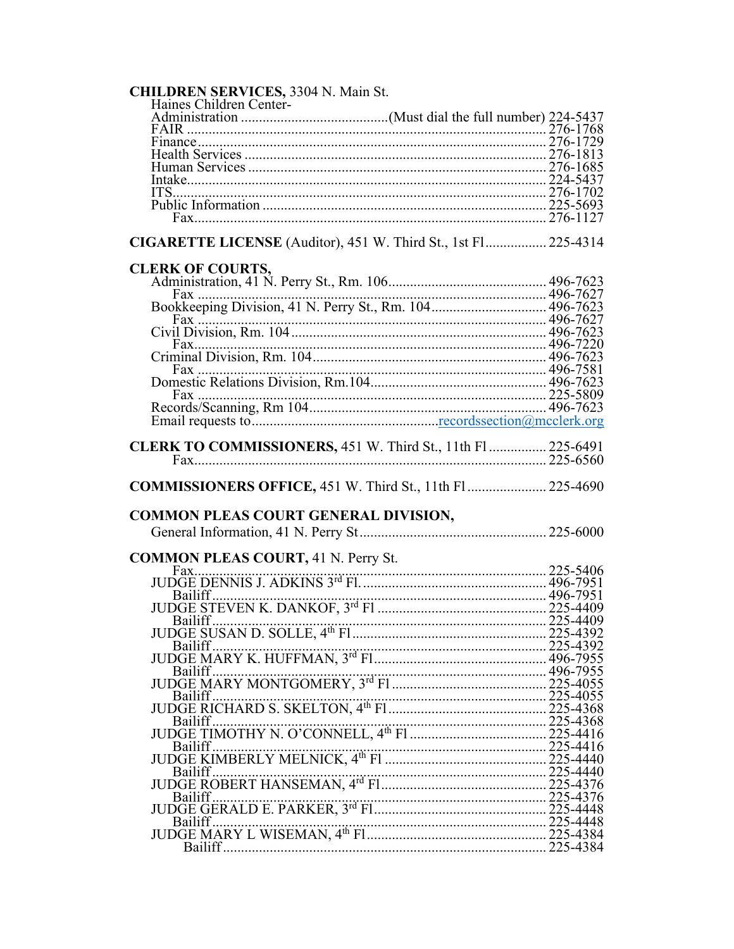| <b>CHILDREN SERVICES, 3304 N. Main St.</b>                                                                                                                                    |  |
|-------------------------------------------------------------------------------------------------------------------------------------------------------------------------------|--|
| Haines Children Center-                                                                                                                                                       |  |
|                                                                                                                                                                               |  |
|                                                                                                                                                                               |  |
|                                                                                                                                                                               |  |
|                                                                                                                                                                               |  |
|                                                                                                                                                                               |  |
|                                                                                                                                                                               |  |
|                                                                                                                                                                               |  |
|                                                                                                                                                                               |  |
| CIGARETTE LICENSE (Auditor), 451 W. Third St., 1st Fl 225-4314                                                                                                                |  |
| <b>CLERK OF COURTS,</b>                                                                                                                                                       |  |
|                                                                                                                                                                               |  |
| Fax                                                                                                                                                                           |  |
|                                                                                                                                                                               |  |
|                                                                                                                                                                               |  |
|                                                                                                                                                                               |  |
|                                                                                                                                                                               |  |
|                                                                                                                                                                               |  |
|                                                                                                                                                                               |  |
|                                                                                                                                                                               |  |
|                                                                                                                                                                               |  |
|                                                                                                                                                                               |  |
|                                                                                                                                                                               |  |
| CLERK TO COMMISSIONERS, 451 W. Third St., 11th Fl 225-6491                                                                                                                    |  |
|                                                                                                                                                                               |  |
|                                                                                                                                                                               |  |
|                                                                                                                                                                               |  |
|                                                                                                                                                                               |  |
| COMMISSIONERS OFFICE, 451 W. Third St., 11th Fl 225-4690<br><b>COMMON PLEAS COURT GENERAL DIVISION,</b>                                                                       |  |
| <b>COMMON PLEAS COURT, 41 N. Perry St.</b>                                                                                                                                    |  |
|                                                                                                                                                                               |  |
|                                                                                                                                                                               |  |
| Bailiff                                                                                                                                                                       |  |
|                                                                                                                                                                               |  |
|                                                                                                                                                                               |  |
|                                                                                                                                                                               |  |
|                                                                                                                                                                               |  |
|                                                                                                                                                                               |  |
|                                                                                                                                                                               |  |
|                                                                                                                                                                               |  |
|                                                                                                                                                                               |  |
|                                                                                                                                                                               |  |
|                                                                                                                                                                               |  |
|                                                                                                                                                                               |  |
| Bailiff (11 MOTHY N. O'CONNELL, 4th Fl. 225-4368<br>Bailiff (11 MOTHY N. O'CONNELL, 4th Fl. 225-4416<br>DIDOGE TIMOTHY N. O'CONNELL, 4th Fl. 225-4416<br>225-4440<br>225-4440 |  |
|                                                                                                                                                                               |  |
|                                                                                                                                                                               |  |
|                                                                                                                                                                               |  |
|                                                                                                                                                                               |  |
|                                                                                                                                                                               |  |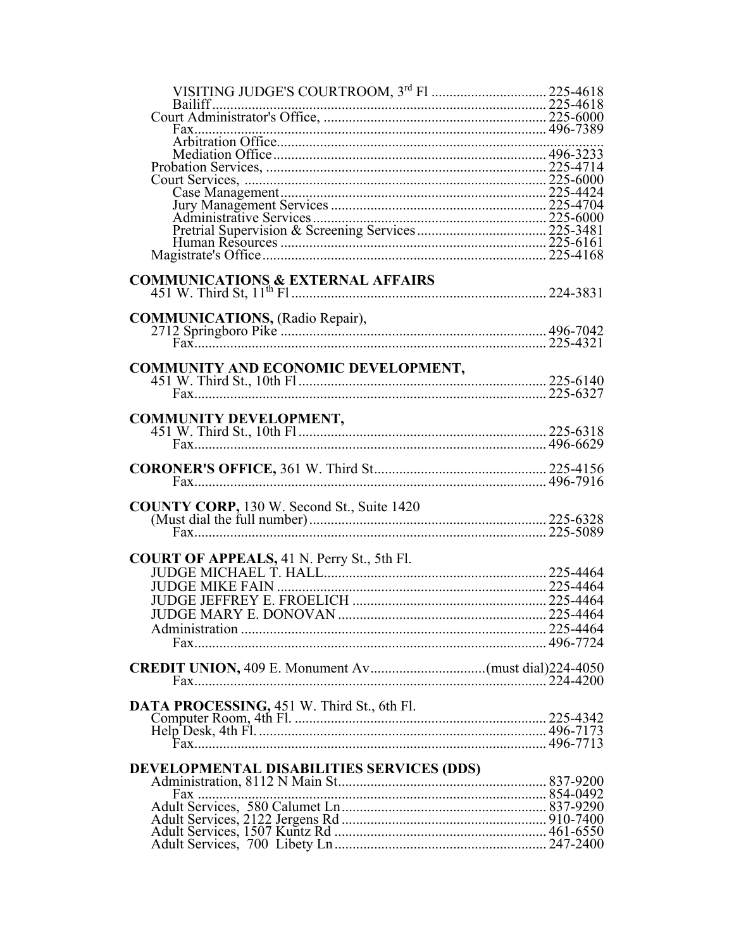| VISITING JUDGE'S COURTROOM, 3rd F1  225-4618      |  |
|---------------------------------------------------|--|
|                                                   |  |
|                                                   |  |
|                                                   |  |
|                                                   |  |
|                                                   |  |
|                                                   |  |
|                                                   |  |
|                                                   |  |
|                                                   |  |
|                                                   |  |
|                                                   |  |
|                                                   |  |
|                                                   |  |
| <b>COMMUNICATIONS &amp; EXTERNAL AFFAIRS</b>      |  |
|                                                   |  |
|                                                   |  |
|                                                   |  |
|                                                   |  |
|                                                   |  |
|                                                   |  |
| COMMUNITY AND ECONOMIC DEVELOPMENT,               |  |
|                                                   |  |
|                                                   |  |
|                                                   |  |
| <b>COMMUNITY DEVELOPMENT,</b>                     |  |
|                                                   |  |
|                                                   |  |
|                                                   |  |
|                                                   |  |
|                                                   |  |
|                                                   |  |
|                                                   |  |
| <b>COUNTY CORP, 130 W. Second St., Suite 1420</b> |  |
|                                                   |  |
|                                                   |  |
|                                                   |  |
|                                                   |  |
|                                                   |  |
|                                                   |  |
|                                                   |  |
|                                                   |  |
|                                                   |  |
|                                                   |  |
|                                                   |  |
|                                                   |  |
|                                                   |  |
|                                                   |  |
| DATA PROCESSING, 451 W. Third St., 6th Fl.        |  |
|                                                   |  |
|                                                   |  |
|                                                   |  |
|                                                   |  |
|                                                   |  |
|                                                   |  |
|                                                   |  |
|                                                   |  |
|                                                   |  |
|                                                   |  |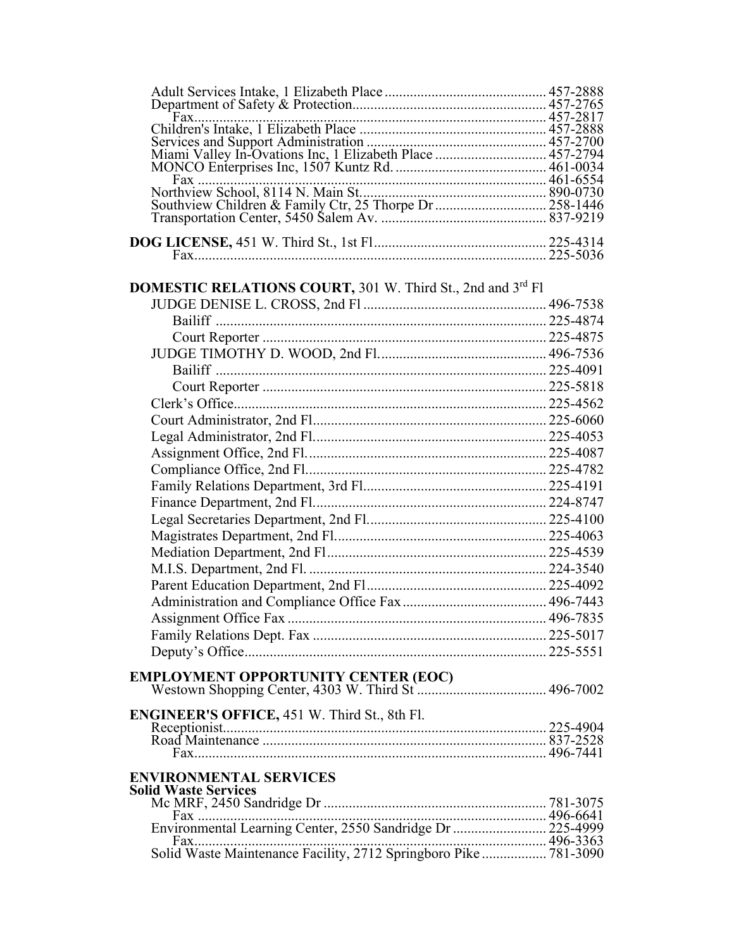| <b>DOMESTIC RELATIONS COURT, 301 W. Third St., 2nd and 3rd F1</b> |  |
|-------------------------------------------------------------------|--|
|                                                                   |  |
|                                                                   |  |
|                                                                   |  |
|                                                                   |  |
|                                                                   |  |
|                                                                   |  |
|                                                                   |  |
|                                                                   |  |
|                                                                   |  |
|                                                                   |  |
|                                                                   |  |
|                                                                   |  |
|                                                                   |  |
|                                                                   |  |
|                                                                   |  |
|                                                                   |  |
|                                                                   |  |
|                                                                   |  |
|                                                                   |  |
|                                                                   |  |
| Assignment Office Fax                                             |  |
|                                                                   |  |
|                                                                   |  |
|                                                                   |  |
|                                                                   |  |
|                                                                   |  |
| ENGINEER'S OFFICE, 451 W. Third St., 8th Fl.                      |  |
|                                                                   |  |
|                                                                   |  |
| <b>ENVIRONMENTAL SERVICES</b>                                     |  |
| <b>Solid Waste Services</b>                                       |  |
|                                                                   |  |
|                                                                   |  |
|                                                                   |  |
|                                                                   |  |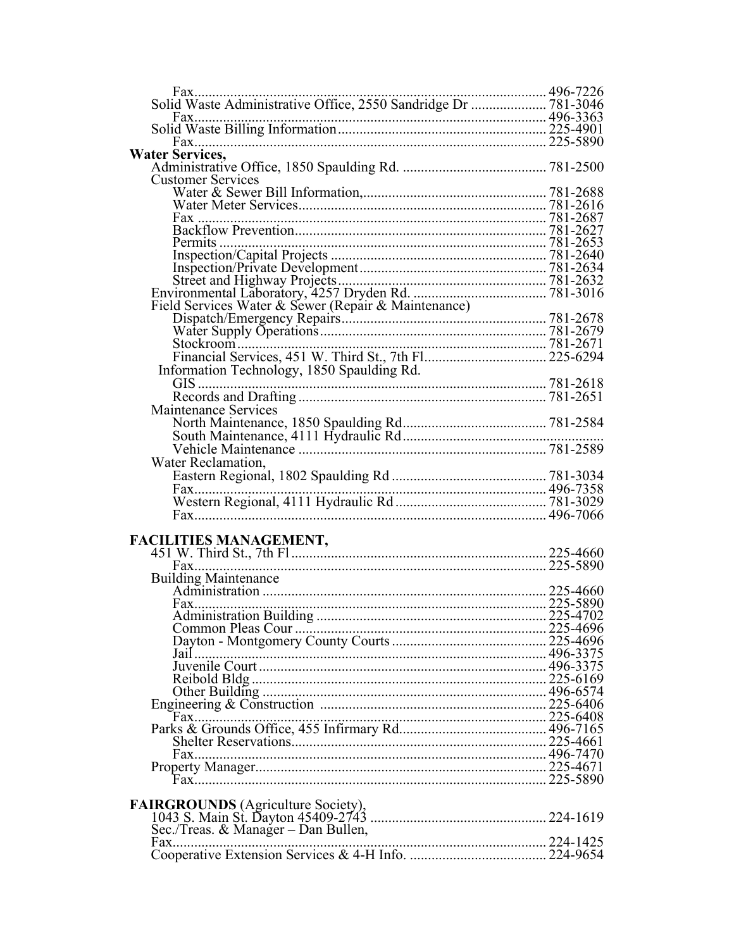| 496-7226                                                       |  |
|----------------------------------------------------------------|--|
| Solid Waste Administrative Office, 2550 Sandridge Dr  781-3046 |  |
|                                                                |  |
|                                                                |  |
|                                                                |  |
| <b>Water Services,</b>                                         |  |
|                                                                |  |
| <b>Customer Services</b>                                       |  |
|                                                                |  |
|                                                                |  |
|                                                                |  |
|                                                                |  |
|                                                                |  |
|                                                                |  |
|                                                                |  |
|                                                                |  |
| Field Services Water & Sewer (Repair & Maintenance)            |  |
|                                                                |  |
|                                                                |  |
|                                                                |  |
|                                                                |  |
| Information Technology, 1850 Spaulding Rd.                     |  |
|                                                                |  |
|                                                                |  |
| Maintenance Services                                           |  |
|                                                                |  |
|                                                                |  |
|                                                                |  |
| Water Reclamation,                                             |  |
|                                                                |  |
| $Fax$                                                          |  |
|                                                                |  |
|                                                                |  |
|                                                                |  |
|                                                                |  |
|                                                                |  |
|                                                                |  |
| <b>Building Maintenance</b>                                    |  |
|                                                                |  |
|                                                                |  |
|                                                                |  |
|                                                                |  |
|                                                                |  |
|                                                                |  |
|                                                                |  |
|                                                                |  |
|                                                                |  |
|                                                                |  |
|                                                                |  |
|                                                                |  |
|                                                                |  |
|                                                                |  |
|                                                                |  |
| <b>FAIRGROUNDS</b> (Agriculture Society),                      |  |
|                                                                |  |
| Sec./Treas. & Manager – Dan Bullen,                            |  |
|                                                                |  |
|                                                                |  |
|                                                                |  |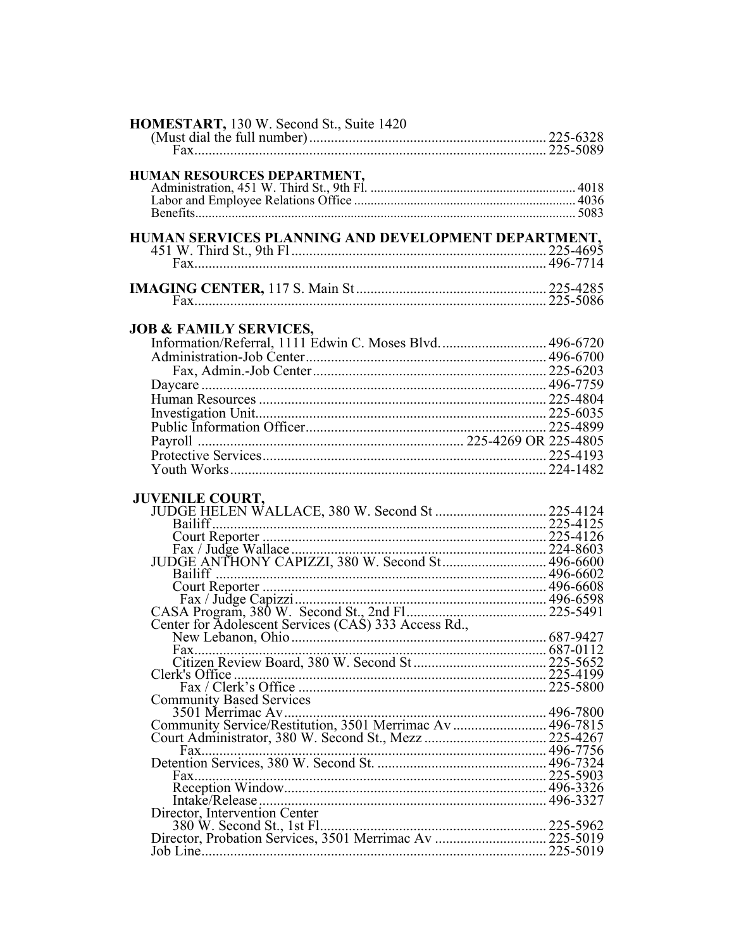| HOMESTART, 130 W. Second St., Suite 1420                  |  |
|-----------------------------------------------------------|--|
|                                                           |  |
| HUMAN RESOURCES DEPARTMENT,                               |  |
|                                                           |  |
|                                                           |  |
|                                                           |  |
| HUMAN SERVICES PLANNING AND DEVELOPMENT DEPARTMENT,       |  |
|                                                           |  |
|                                                           |  |
|                                                           |  |
|                                                           |  |
|                                                           |  |
| <b>JOB &amp; FAMILY SERVICES,</b>                         |  |
| Information/Referral, 1111 Edwin C. Moses Blvd.  496-6720 |  |
|                                                           |  |
|                                                           |  |
|                                                           |  |
|                                                           |  |
|                                                           |  |
|                                                           |  |
|                                                           |  |
|                                                           |  |
|                                                           |  |
|                                                           |  |
|                                                           |  |
|                                                           |  |
|                                                           |  |
|                                                           |  |
|                                                           |  |
|                                                           |  |
|                                                           |  |
| $Fax$                                                     |  |
|                                                           |  |
|                                                           |  |
| <b>Community Based Services</b>                           |  |
|                                                           |  |
|                                                           |  |
|                                                           |  |
| Fax                                                       |  |
|                                                           |  |
|                                                           |  |
|                                                           |  |
| Director, Intervention Center                             |  |
|                                                           |  |
|                                                           |  |
|                                                           |  |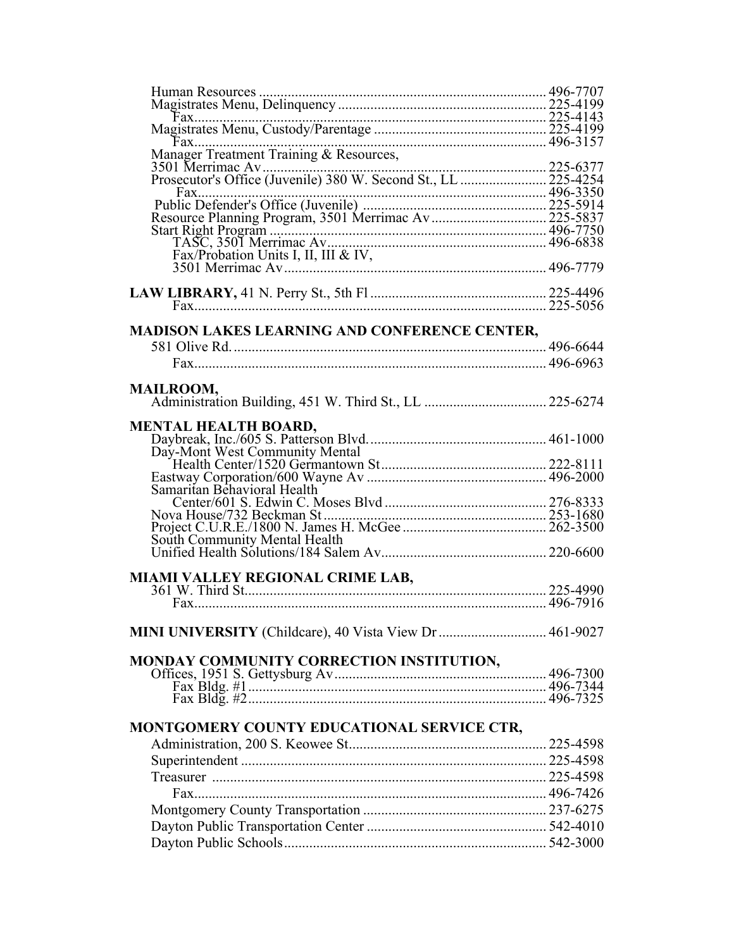| Fax                                                    |  |
|--------------------------------------------------------|--|
|                                                        |  |
|                                                        |  |
|                                                        |  |
|                                                        |  |
|                                                        |  |
|                                                        |  |
|                                                        |  |
|                                                        |  |
|                                                        |  |
| <b>MADISON LAKES LEARNING AND CONFERENCE CENTER,</b>   |  |
|                                                        |  |
|                                                        |  |
|                                                        |  |
| <b>MAILROOM,</b>                                       |  |
|                                                        |  |
| <b>MENTAL HEALTH BOARD,</b>                            |  |
|                                                        |  |
| Day-Mont West Community Mental                         |  |
|                                                        |  |
|                                                        |  |
| Samaritan Behavioral Health                            |  |
|                                                        |  |
|                                                        |  |
|                                                        |  |
|                                                        |  |
|                                                        |  |
|                                                        |  |
|                                                        |  |
|                                                        |  |
|                                                        |  |
| MINI UNIVERSITY (Childcare), 40 Vista View Dr 461-9027 |  |
| MONDAY COMMUNITY CORRECTION INSTITUTION,               |  |
|                                                        |  |
|                                                        |  |
|                                                        |  |
|                                                        |  |
| MONTGOMERY COUNTY EDUCATIONAL SERVICE CTR,             |  |
|                                                        |  |
|                                                        |  |
|                                                        |  |
|                                                        |  |
|                                                        |  |
|                                                        |  |
|                                                        |  |
|                                                        |  |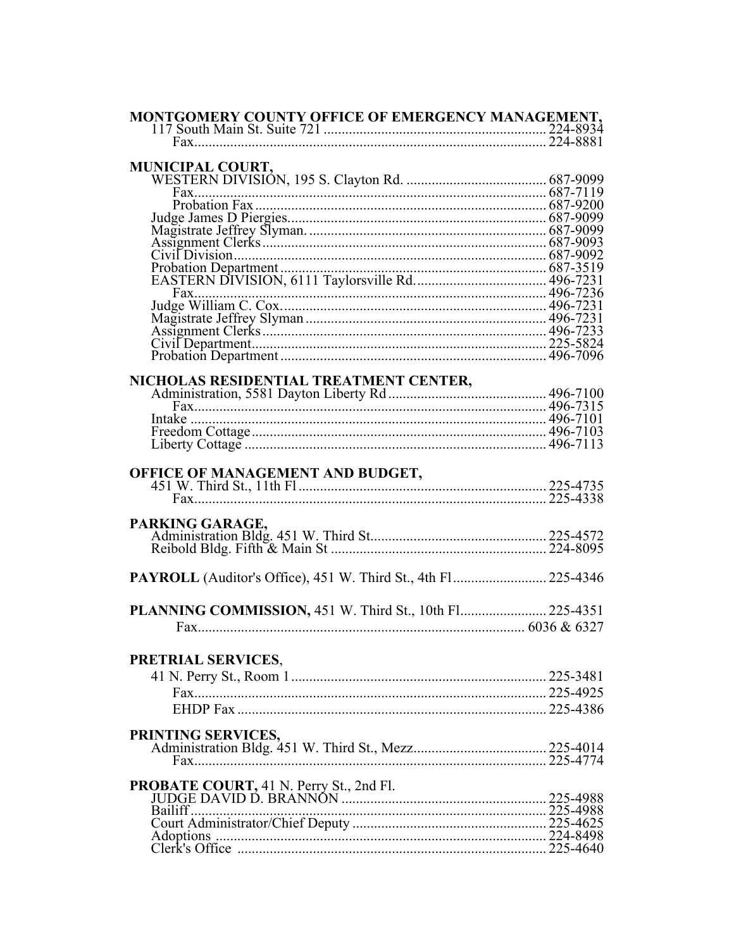| MONTGOMERY COUNTY OFFICE OF EMERGENCY MANAGEMENT,       |  |
|---------------------------------------------------------|--|
|                                                         |  |
|                                                         |  |
|                                                         |  |
| <b>MUNICIPAL COURT,</b>                                 |  |
|                                                         |  |
|                                                         |  |
|                                                         |  |
|                                                         |  |
|                                                         |  |
|                                                         |  |
|                                                         |  |
|                                                         |  |
|                                                         |  |
|                                                         |  |
|                                                         |  |
|                                                         |  |
|                                                         |  |
|                                                         |  |
|                                                         |  |
|                                                         |  |
|                                                         |  |
|                                                         |  |
|                                                         |  |
|                                                         |  |
|                                                         |  |
|                                                         |  |
|                                                         |  |
|                                                         |  |
|                                                         |  |
|                                                         |  |
|                                                         |  |
|                                                         |  |
| PARKING GARAGE,                                         |  |
|                                                         |  |
|                                                         |  |
|                                                         |  |
|                                                         |  |
|                                                         |  |
|                                                         |  |
| PLANNING COMMISSION, 451 W. Third St., 10th Fl 225-4351 |  |
|                                                         |  |
|                                                         |  |
|                                                         |  |
| PRETRIAL SERVICES,                                      |  |
|                                                         |  |
|                                                         |  |
|                                                         |  |
|                                                         |  |
|                                                         |  |
| PRINTING SERVICES,                                      |  |
|                                                         |  |
|                                                         |  |
|                                                         |  |
|                                                         |  |
|                                                         |  |
|                                                         |  |
|                                                         |  |
|                                                         |  |
|                                                         |  |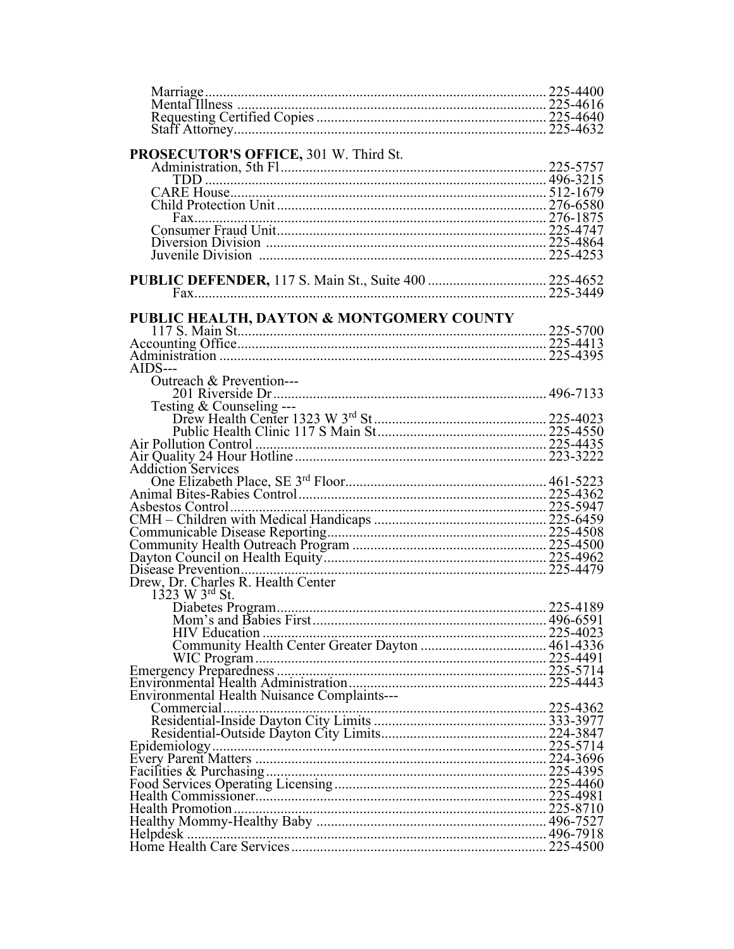| PROSECUTOR'S OFFICE, 301 W. Third St.       |  |
|---------------------------------------------|--|
|                                             |  |
|                                             |  |
|                                             |  |
|                                             |  |
|                                             |  |
|                                             |  |
|                                             |  |
|                                             |  |
|                                             |  |
|                                             |  |
| PUBLIC HEALTH, DAYTON & MONTGOMERY COUNTY   |  |
|                                             |  |
|                                             |  |
|                                             |  |
| $AIDS$ ---                                  |  |
| Outreach & Prevention---                    |  |
|                                             |  |
| Testing $&$ Counseling ---                  |  |
|                                             |  |
|                                             |  |
|                                             |  |
|                                             |  |
| <b>Addiction Services</b>                   |  |
|                                             |  |
|                                             |  |
|                                             |  |
|                                             |  |
|                                             |  |
|                                             |  |
|                                             |  |
|                                             |  |
| 1323 W 3rd St.                              |  |
|                                             |  |
|                                             |  |
|                                             |  |
|                                             |  |
|                                             |  |
|                                             |  |
| Environmental Health Nuisance Complaints--- |  |
|                                             |  |
|                                             |  |
|                                             |  |
|                                             |  |
|                                             |  |
|                                             |  |
|                                             |  |
|                                             |  |
|                                             |  |
|                                             |  |
|                                             |  |
|                                             |  |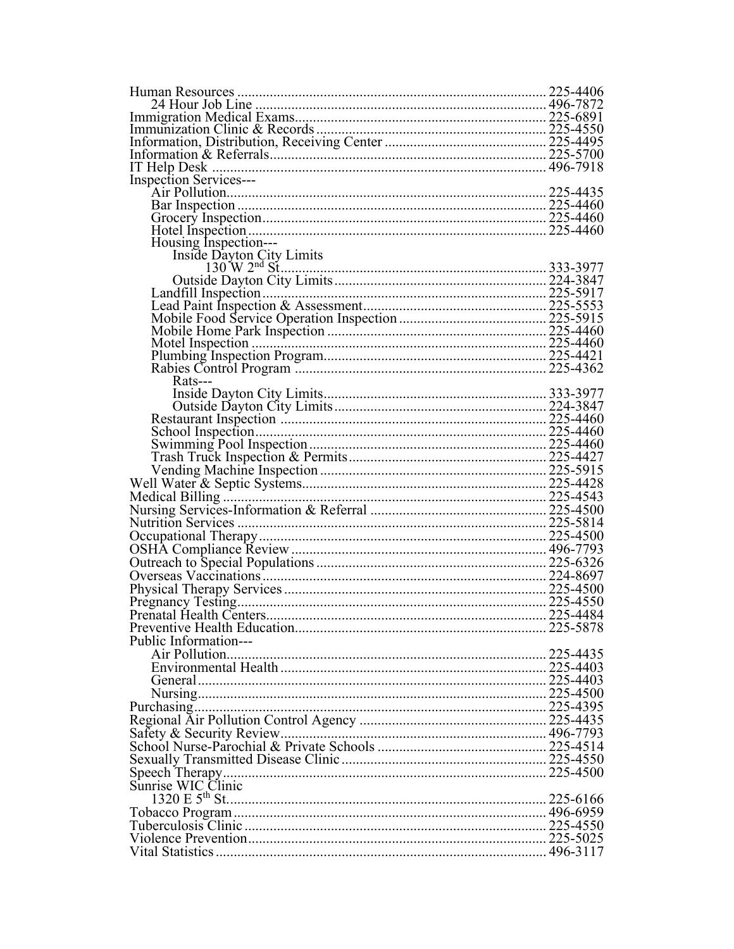| <b>Inspection Services---</b> |  |
|-------------------------------|--|
|                               |  |
|                               |  |
|                               |  |
|                               |  |
| Housing Inspection---         |  |
|                               |  |
|                               |  |
|                               |  |
|                               |  |
|                               |  |
|                               |  |
|                               |  |
|                               |  |
|                               |  |
| $Rats--$                      |  |
|                               |  |
|                               |  |
|                               |  |
|                               |  |
|                               |  |
|                               |  |
|                               |  |
|                               |  |
|                               |  |
|                               |  |
|                               |  |
|                               |  |
|                               |  |
|                               |  |
|                               |  |
|                               |  |
|                               |  |
|                               |  |
|                               |  |
|                               |  |
| Public Information---         |  |
|                               |  |
|                               |  |
|                               |  |
|                               |  |
|                               |  |
|                               |  |
|                               |  |
|                               |  |
|                               |  |
|                               |  |
| Sunrise WIC Clinic            |  |
|                               |  |
|                               |  |
|                               |  |
|                               |  |
|                               |  |
|                               |  |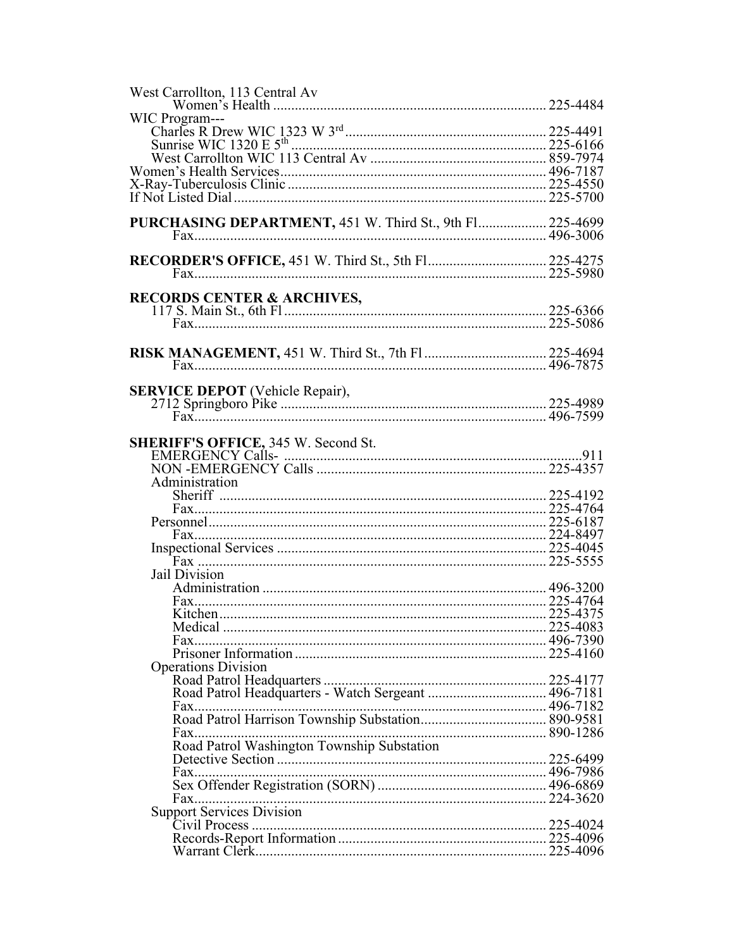| West Carrollton, 113 Central Av                           |  |
|-----------------------------------------------------------|--|
|                                                           |  |
| WIC Program---                                            |  |
|                                                           |  |
|                                                           |  |
|                                                           |  |
|                                                           |  |
|                                                           |  |
| If Not Listed Dial …………………………………………………………………………… 225-5700 |  |
|                                                           |  |
| PURCHASING DEPARTMENT, 451 W. Third St., 9th Fl 225-4699  |  |
|                                                           |  |
|                                                           |  |
|                                                           |  |
|                                                           |  |
|                                                           |  |
|                                                           |  |
| <b>RECORDS CENTER &amp; ARCHIVES,</b>                     |  |
|                                                           |  |
|                                                           |  |
|                                                           |  |
| <b>RISK MANAGEMENT, 451 W. Third St., 7th F1 225-4694</b> |  |
|                                                           |  |
|                                                           |  |
|                                                           |  |
|                                                           |  |
|                                                           |  |
|                                                           |  |
|                                                           |  |
| SHERIFF'S OFFICE, 345 W. Second St.                       |  |
|                                                           |  |
|                                                           |  |
| Administration                                            |  |
|                                                           |  |
|                                                           |  |
|                                                           |  |
|                                                           |  |
|                                                           |  |
|                                                           |  |
| Jail Division                                             |  |
|                                                           |  |
|                                                           |  |
|                                                           |  |
|                                                           |  |
|                                                           |  |
| Fax.                                                      |  |
|                                                           |  |
| <b>Operations Division</b>                                |  |
|                                                           |  |
|                                                           |  |
| Fax                                                       |  |
|                                                           |  |
|                                                           |  |
| $Fax$                                                     |  |
| Road Patrol Washington Township Substation                |  |
|                                                           |  |
|                                                           |  |
|                                                           |  |
|                                                           |  |
|                                                           |  |
|                                                           |  |
|                                                           |  |
|                                                           |  |
|                                                           |  |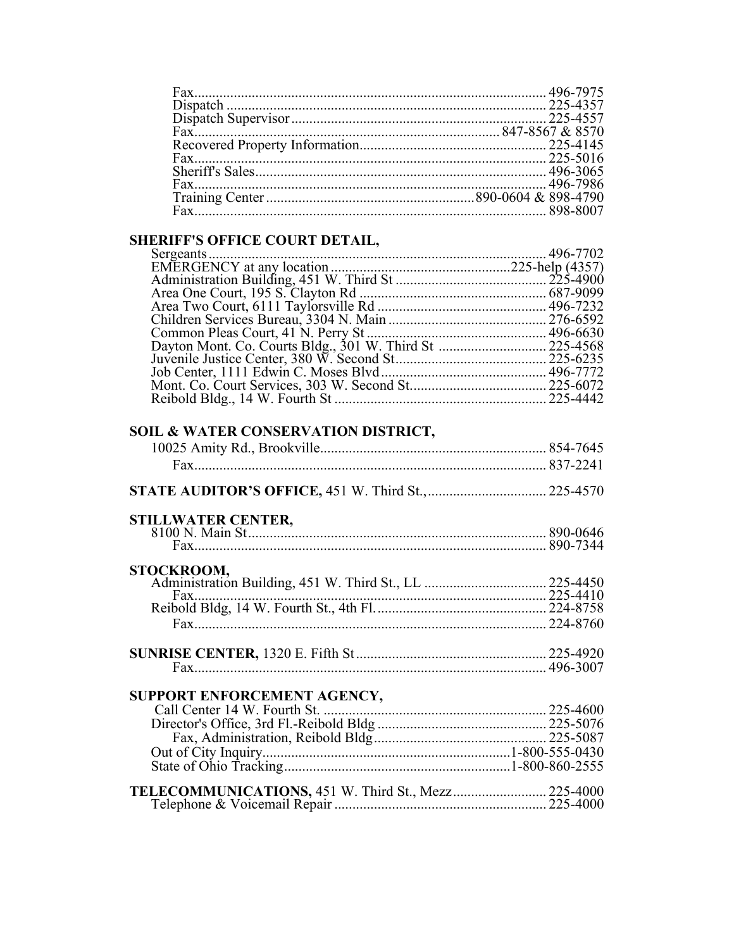### SHERIFF'S OFFICE COURT DETAIL,

| HENIFF 5 OFFICE COUNT DETAIL, |  |
|-------------------------------|--|
|                               |  |
|                               |  |
|                               |  |
|                               |  |
|                               |  |
|                               |  |
|                               |  |
|                               |  |
|                               |  |
|                               |  |
|                               |  |
|                               |  |
|                               |  |

## SOIL & WATER CONSERVATION DISTRICT,

| <b>STILLWATER CENTER,</b>   |  |
|-----------------------------|--|
|                             |  |
| STOCKROOM,                  |  |
|                             |  |
| Fax.                        |  |
|                             |  |
|                             |  |
|                             |  |
| SUPPORT ENFORCEMENT AGENCY, |  |
|                             |  |
|                             |  |
|                             |  |
|                             |  |
|                             |  |

| <b>TELECOMMUNICATIONS, 451 W. Third St., Mezz 225-4000</b> |  |
|------------------------------------------------------------|--|
|                                                            |  |
|                                                            |  |
|                                                            |  |